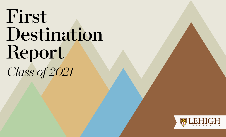# First Destination Report *Class of 2021*

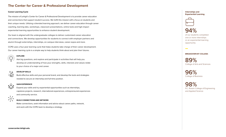#### **The Center for Career & Professional Development**

#### **Career Learning Cycle**

The mission of Lehigh's Center for Career & Professional Development is to provide career education and connections that support student success. We fulfill this mission with a focus on students and their unique needs. Utilizing a blended learning approach, we deliver career education through career coaching, learning labs, workshops, classroom presentations, online tools and high-impact experiential learning opportunities to enhance student development.

Our team is aligned with the undergraduate colleges to deliver customized career education and connections. We develop opportunities for students to connect with employer partners and alumni through externships, internships, on-campus interviews, career expos and more.

CCPD uses a four-year learning cycle that helps students take charge of their career development. Our career learning cycle is a simple way to help students think about and plan their futures.

# **EXPLORE**

Ask big questions, and explore and participate in activities that will help you develop an understanding of how your strengths, skills, interests and values relate to your choice of a major and career.

#### $\frac{1}{2}$ **DEVELOP SKILLS**

Build effective skills and your personal brand, and develop the tools and strategies needed to secure an internship and full-time position.

## **RANA**

#### **GAIN EXPERIENCE**

Expand your skills and try experiential opportunities such as internships, capstone projects, research, international experiences, entrepreneurial experiences and community service.

### $\begin{array}{c}\n\nwarrow^{\uparrow} & \nearrow \\
\nwarrow^{\uparrow} & \downarrow \\
\swarrow^{\downarrow} & \swarrow\n\end{array}$

**BUILD CONNECTIONS AND NETWORK**

Make connections, seek information and advice about career paths, network, and work with the CCPD team to develop a strategy.



**Internships and** 



of our students completed one or more internships or an experiential learning opportunity

#### **BREAKDOWN BY COLLEGE:**

89% College of Arts and Sciences

96% College of Business

98% P.C. Rossin College of Engineering and Applied Science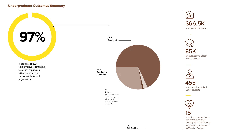# $\ddot{\phantom{0}}$ **Undergraduate Outcomes Summary**

Undergraduate Outcomes Summ of the class of 2021 were employed, continuing education or pursuing military or volunteer Undergraduate Outcomes Summ of graduation









455 unique employers hired Lehigh students



**Contract Contract** 

of our top employers have committed to advance diversity and inclusion within the workplace through the CEO Action Pledge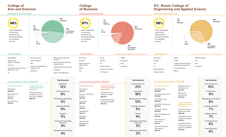#### **College of Arts and Sciences**

**Undergraduate Outcomes** 



#### **College of Business**

**97%** 

were employed, continuing education or pursuing military or volunteer service

**Undergraduate Outcomes** 

**Other**

**3% Still Seeking**

#### **P.C. Rossin College of Engineering and Applied Science**

**Undergraduate Outcomes** 



Materials Science & Engineering **\$67,391** Mechanical Engineering **\$68,004**

**INTERCOLLEGIATE INTERDISCIPLINARY PROGRAMS:** Computer Science & Business (CSB) **\$86,244**

Integrated Business & Engineering (IBE) **\$75,073**

Integrated Degree in Engineering, Arts & Sciences (IDEAS) **\$62,044**

| <b>Top Employers</b>                                                                                               |                                                                                                                         |                                                                                                                                                  | <b>Top Employers</b>                                                                  |                                                                      | * Recognized on the DiversityInc Top 50 Companies | <b>Top Employers</b>                                             |                                                                                                                    | * Recognized on the DiversityInc Top 50 Companies      |
|--------------------------------------------------------------------------------------------------------------------|-------------------------------------------------------------------------------------------------------------------------|--------------------------------------------------------------------------------------------------------------------------------------------------|---------------------------------------------------------------------------------------|----------------------------------------------------------------------|---------------------------------------------------|------------------------------------------------------------------|--------------------------------------------------------------------------------------------------------------------|--------------------------------------------------------|
| AlphaSights<br>Brigham and<br>Women's Hospital<br>City Year<br>Columbia University Irving<br><b>Medical Center</b> | <b>Fast Enterprises</b><br><b>Goldman Sachs</b><br><b>IBM</b><br>Icahn School of Medicine<br>at Mount Sinai<br>KIPP NYC | <b>Massachusetts General</b><br>Hospital<br><b>Memorial Sloan Kettering</b><br><b>Cancer Center</b><br>National Institutes of Health<br>Vanguard | Accenture<br>Amazon<br><b>Bank of America</b><br>Merrill Lynch<br><b>BASF</b><br>Citi | Crowe<br>Deloitte<br>EY<br><b>Goldman Sachs</b><br>Johnson & Johnson | <b>KPMG</b><br>Prudential<br>PwC<br>Vanguard      | Accenture <sup>*</sup><br>Amazon<br>Citi<br>EY<br>Globus Medical | Kiewit<br>KPMG <sup>*</sup><br>Langan Engineering and<br><b>Environmental Services</b><br>Lockheed Martin<br>Merck | <b>MPR Associates</b><br><b>PPL</b><br>PwC<br>Vanquard |
|                                                                                                                    |                                                                                                                         | Weill Cornell Medicine                                                                                                                           |                                                                                       | J.P. Morgan                                                          |                                                   | Goldman Sachs                                                    |                                                                                                                    |                                                        |

**Employed 1%**

**15% Continuing Education**

| <b>Average Starting Salary: \$56,753</b> |  |  |
|------------------------------------------|--|--|
|                                          |  |  |

| BY FIELD OF STUDY: |
|--------------------|
| Humanities         |
| \$55,663           |
| Math & Natural     |
| Sciences           |
| \$47.320           |

Social Sciences **\$61,629**

| 556,753 ٪                                                              | <b>Top Industries</b>                       |
|------------------------------------------------------------------------|---------------------------------------------|
| <b>INTERCOLLEGIATE</b><br><b>INTERDISCIPLINARY</b><br><b>PROGRAM:</b>  | Healthcare<br>12%                           |
| <b>Integrated Degree</b><br>in Engineering, Arts<br>& Sciences (IDEAS) | <b>Financial Services</b><br>8%             |
| \$62,044                                                               | <b>Marketing &amp; Advertising</b><br>6%    |
|                                                                        | <b>Computer Software</b><br>5%              |
|                                                                        | Research<br>5%                              |
|                                                                        | <b>Information Technology</b><br>& Services |

Management Consulting 4%

| <b>Top Industries</b> | <b>Average Starting Salary: \$68,351</b> | <b>Top Industries</b>                              |                            |
|-----------------------|------------------------------------------|----------------------------------------------------|----------------------------|
| Healthcare            |                                          |                                                    | <b>Financial Service</b>   |
| 12%                   | <b>BY FIELD OF STUDY:</b><br>Accounting  | <b>INTERCOLLEGIATE</b><br><b>INTERDISCIPLINARY</b> | 21%                        |
| inancial Services     | \$67,100                                 | <b>PROGRAMS:</b>                                   | Accounting                 |
|                       |                                          | Computer Science                                   |                            |
| 8%                    | <b>Business Information</b>              | & Business (CSB)                                   | 18%                        |
|                       | Systems                                  | \$86.244                                           |                            |
| keting & Advertising  | \$67,525                                 | <b>Integrated Business</b>                         | <b>Management Consu</b>    |
| 6%                    | Economics                                | & Engineering (IBE)                                | 13%                        |
|                       | \$55.333                                 | \$75,073                                           |                            |
| omputer Software      | Finance                                  |                                                    | Computer Softwa            |
| 5%                    | \$69,718                                 |                                                    | 5%                         |
|                       |                                          |                                                    |                            |
|                       | Management                               |                                                    |                            |
| Research              | \$65,727                                 |                                                    | Internet                   |
| 5%                    | Marketing                                |                                                    | 4%                         |
|                       | \$51,285                                 |                                                    |                            |
| rmation Technology    | Supply Chain                             |                                                    | <b>Information Technol</b> |
| & Services            | Management                               |                                                    | & Services                 |
| 4%                    | \$53,500                                 |                                                    | 3%                         |
|                       |                                          |                                                    |                            |
| agement Consulting    |                                          |                                                    | Marketing & Adverti        |

| <b>Top Industries</b>                             |  |
|---------------------------------------------------|--|
| <b>Financial Services</b><br>21%                  |  |
| Accounting<br>18%                                 |  |
| <b>Management Consulting</b><br>13%               |  |
| <b>Computer Software</b><br>5%                    |  |
| Internet<br>4%                                    |  |
| <b>Information Technology</b><br>& Services<br>3% |  |
| <b>Marketing &amp; Advertising</b><br>3%          |  |

**81%**

|  | <b>Average Starting Salary: \$72,024</b> |
|--|------------------------------------------|
|  |                                          |

**BY FIELD OF STUDY:** Bioengineering

**\$68,889** Chemical Engineering **\$75,563**

Civil Engineering **\$66,558** Computer Engineering

**\$82,025** Computer Science

**\$92,820** Electrical Engineering

**\$76,184** Environmental

Engineering **\$61,001**

Industrial & Systems Engineering **\$65,105**

**Top Industries** Financial Services

10%

Construction 9%

Management Consulting 8%

Computer Software 7%

Defense & Space

7%

Civil Engineering 6%

Pharmaceuticals 6%